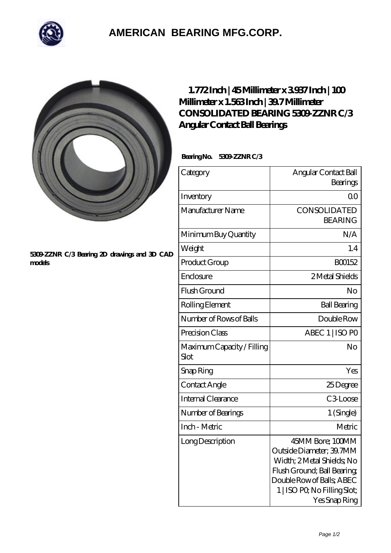

## **[AMERICAN BEARING MFG.CORP.](https://m.geragogik.net)**



## **[5309-ZZNR C/3 Bearing 2D drawings and 3D CAD](https://m.geragogik.net/pic-181440.html) [models](https://m.geragogik.net/pic-181440.html)**

## **[1.772 Inch | 45 Millimeter x 3.937 Inch | 100](https://m.geragogik.net/bh-181440-consolidated-bearing-5309-zznr-c-3-angular-contact-ball-bearings.html) [Millimeter x 1.563 Inch | 39.7 Millimeter](https://m.geragogik.net/bh-181440-consolidated-bearing-5309-zznr-c-3-angular-contact-ball-bearings.html) [CONSOLIDATED BEARING 5309-ZZNR C/3](https://m.geragogik.net/bh-181440-consolidated-bearing-5309-zznr-c-3-angular-contact-ball-bearings.html) [Angular Contact Ball Bearings](https://m.geragogik.net/bh-181440-consolidated-bearing-5309-zznr-c-3-angular-contact-ball-bearings.html)**

 **Bearing No. 5309-ZZNR C/3**

| Category                           | Angular Contact Ball<br>Bearings                                                                                                                                                        |
|------------------------------------|-----------------------------------------------------------------------------------------------------------------------------------------------------------------------------------------|
| Inventory                          | 0 <sup>0</sup>                                                                                                                                                                          |
| Manufacturer Name                  | CONSOLIDATED<br><b>BEARING</b>                                                                                                                                                          |
| Minimum Buy Quantity               | N/A                                                                                                                                                                                     |
| Weight                             | 1.4                                                                                                                                                                                     |
| Product Group                      | BO0152                                                                                                                                                                                  |
| Enclosure                          | 2 Metal Shields                                                                                                                                                                         |
| Flush Ground                       | No                                                                                                                                                                                      |
| Rolling Element                    | <b>Ball Bearing</b>                                                                                                                                                                     |
| Number of Rows of Balls            | Double Row                                                                                                                                                                              |
| Precision Class                    | ABEC 1   ISO PO                                                                                                                                                                         |
| Maximum Capacity / Filling<br>Slot | No                                                                                                                                                                                      |
| Snap Ring                          | Yes                                                                                                                                                                                     |
| Contact Angle                      | 25Degree                                                                                                                                                                                |
| Internal Clearance                 | C <sub>3</sub> Loose                                                                                                                                                                    |
| Number of Bearings                 | 1 (Single)                                                                                                                                                                              |
| Inch - Metric                      | Metric                                                                                                                                                                                  |
| Long Description                   | 45MM Bore; 100MM<br>Outside Diameter; 39.7MM<br>Width; 2 Metal Shields; No<br>Flush Ground; Ball Bearing;<br>Double Row of Balls, ABEC<br>1   ISO PO, No Filling Slot;<br>Yes Snap Ring |